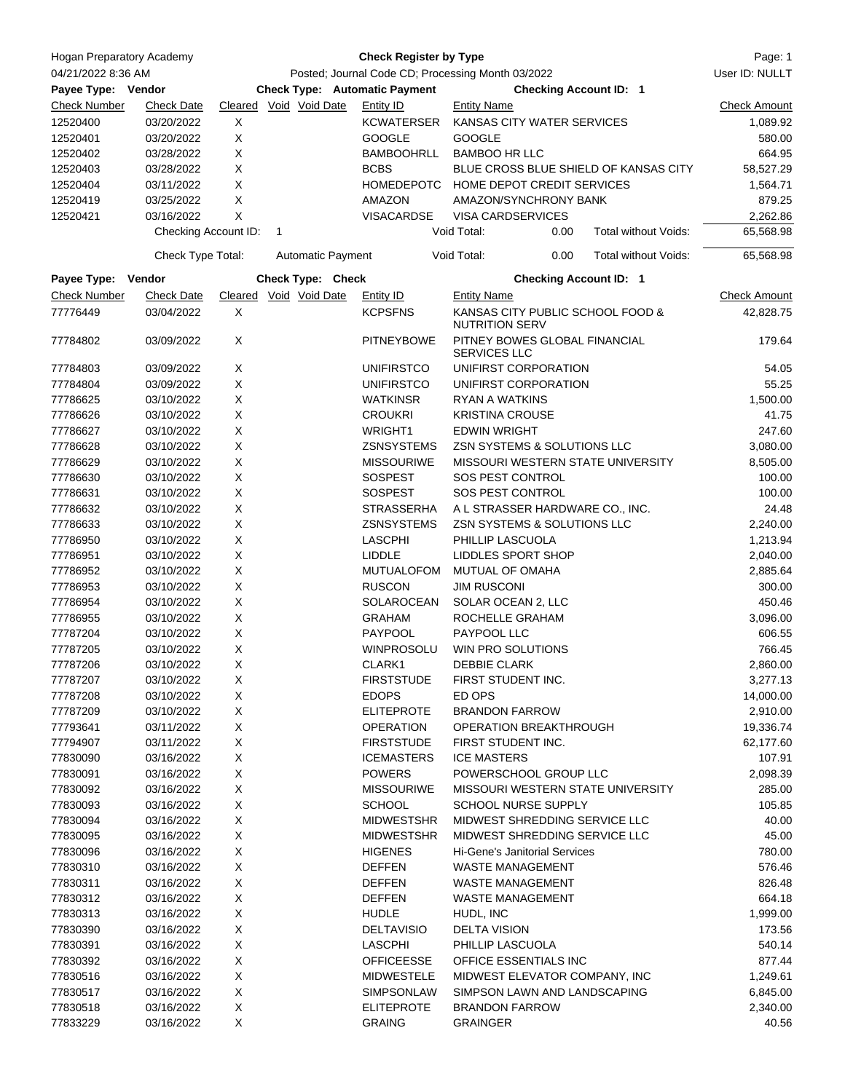| Hogan Preparatory Academy |                      |                                                   |              |                          | <b>Check Register by Type</b> |                                                           |      |                               | Page: 1             |
|---------------------------|----------------------|---------------------------------------------------|--------------|--------------------------|-------------------------------|-----------------------------------------------------------|------|-------------------------------|---------------------|
| 04/21/2022 8:36 AM        |                      | Posted; Journal Code CD; Processing Month 03/2022 |              |                          |                               |                                                           |      | User ID: NULLT                |                     |
| Payee Type: Vendor        |                      | <b>Check Type: Automatic Payment</b>              |              |                          |                               | <b>Checking Account ID: 1</b>                             |      |                               |                     |
| <b>Check Number</b>       | <b>Check Date</b>    |                                                   |              | Cleared Void Void Date   | Entity ID                     | <b>Entity Name</b>                                        |      |                               | <b>Check Amount</b> |
| 12520400                  | 03/20/2022           | Χ                                                 |              |                          | <b>KCWATERSER</b>             | KANSAS CITY WATER SERVICES                                |      |                               | 1,089.92            |
| 12520401                  | 03/20/2022           | X                                                 |              |                          | <b>GOOGLE</b>                 | <b>GOOGLE</b>                                             |      |                               | 580.00              |
| 12520402                  | 03/28/2022           | X                                                 |              |                          | <b>BAMBOOHRLL</b>             | <b>BAMBOO HR LLC</b>                                      |      |                               | 664.95              |
| 12520403                  | 03/28/2022           | X                                                 |              |                          | <b>BCBS</b>                   | BLUE CROSS BLUE SHIELD OF KANSAS CITY                     |      |                               | 58,527.29           |
| 12520404                  | 03/11/2022           | X                                                 |              |                          | <b>HOMEDEPOTC</b>             | HOME DEPOT CREDIT SERVICES                                |      |                               | 1,564.71            |
| 12520419                  | 03/25/2022           | X                                                 |              |                          | AMAZON                        | AMAZON/SYNCHRONY BANK                                     |      |                               | 879.25              |
| 12520421                  | 03/16/2022           | X                                                 |              |                          | VISACARDSE                    | <b>VISA CARDSERVICES</b>                                  |      |                               | 2,262.86            |
|                           | Checking Account ID: |                                                   | $\mathbf{1}$ |                          |                               | Void Total:                                               | 0.00 | Total without Voids:          | 65,568.98           |
|                           | Check Type Total:    |                                                   |              | <b>Automatic Payment</b> |                               | Void Total:                                               | 0.00 | Total without Voids:          | 65,568.98           |
| Payee Type:               | Vendor               |                                                   |              | Check Type: Check        |                               |                                                           |      | <b>Checking Account ID: 1</b> |                     |
| <b>Check Number</b>       | <b>Check Date</b>    |                                                   |              | Cleared Void Void Date   | Entity ID                     | <b>Entity Name</b>                                        |      |                               | <b>Check Amount</b> |
| 77776449                  | 03/04/2022           | Χ                                                 |              |                          | <b>KCPSFNS</b>                | KANSAS CITY PUBLIC SCHOOL FOOD &<br><b>NUTRITION SERV</b> |      |                               | 42,828.75           |
| 77784802                  | 03/09/2022           | Χ                                                 |              |                          | <b>PITNEYBOWE</b>             | PITNEY BOWES GLOBAL FINANCIAL<br><b>SERVICES LLC</b>      |      |                               | 179.64              |
| 77784803                  | 03/09/2022           | Χ                                                 |              |                          | <b>UNIFIRSTCO</b>             | UNIFIRST CORPORATION                                      |      |                               | 54.05               |
| 77784804                  | 03/09/2022           | Χ                                                 |              |                          | <b>UNIFIRSTCO</b>             | UNIFIRST CORPORATION                                      |      |                               | 55.25               |
| 77786625                  | 03/10/2022           | X                                                 |              |                          | <b>WATKINSR</b>               | RYAN A WATKINS                                            |      |                               | 1,500.00            |
| 77786626                  | 03/10/2022           | X                                                 |              |                          | <b>CROUKRI</b>                | <b>KRISTINA CROUSE</b>                                    |      |                               | 41.75               |
| 77786627                  | 03/10/2022           | X                                                 |              |                          | <b>WRIGHT1</b>                | <b>EDWIN WRIGHT</b>                                       |      |                               | 247.60              |
| 77786628                  | 03/10/2022           | Χ                                                 |              |                          | <b>ZSNSYSTEMS</b>             | ZSN SYSTEMS & SOLUTIONS LLC                               |      |                               | 3,080.00            |
| 77786629                  | 03/10/2022           | X                                                 |              |                          | <b>MISSOURIWE</b>             | MISSOURI WESTERN STATE UNIVERSITY                         |      |                               | 8,505.00            |
| 77786630                  | 03/10/2022           | X                                                 |              |                          | <b>SOSPEST</b>                | SOS PEST CONTROL                                          |      |                               | 100.00              |
| 77786631                  | 03/10/2022           | X                                                 |              |                          | <b>SOSPEST</b>                | SOS PEST CONTROL                                          |      |                               | 100.00              |
| 77786632                  | 03/10/2022           | X                                                 |              |                          | <b>STRASSERHA</b>             | A L STRASSER HARDWARE CO., INC.                           |      |                               | 24.48               |
| 77786633                  | 03/10/2022           | X                                                 |              |                          | <b>ZSNSYSTEMS</b>             | ZSN SYSTEMS & SOLUTIONS LLC                               |      |                               | 2,240.00            |
| 77786950                  | 03/10/2022           | X                                                 |              |                          | <b>LASCPHI</b>                | PHILLIP LASCUOLA                                          |      |                               | 1,213.94            |
| 77786951                  | 03/10/2022           | X                                                 |              |                          | <b>LIDDLE</b>                 | LIDDLES SPORT SHOP                                        |      |                               | 2,040.00            |
| 77786952                  | 03/10/2022           | X                                                 |              |                          | <b>MUTUALOFOM</b>             | MUTUAL OF OMAHA                                           |      |                               | 2,885.64            |
| 77786953                  | 03/10/2022           | Χ                                                 |              |                          | <b>RUSCON</b>                 | <b>JIM RUSCONI</b>                                        |      |                               | 300.00              |
| 77786954                  | 03/10/2022           | X                                                 |              |                          | SOLAROCEAN                    | SOLAR OCEAN 2, LLC                                        |      |                               | 450.46              |
| 77786955                  | 03/10/2022           | Χ                                                 |              |                          | <b>GRAHAM</b>                 | ROCHELLE GRAHAM                                           |      |                               | 3,096.00            |
| 77787204                  | 03/10/2022           | X                                                 |              |                          | <b>PAYPOOL</b>                | PAYPOOL LLC                                               |      |                               | 606.55              |
| 77787205                  | 03/10/2022           | Χ                                                 |              |                          | <b>WINPROSOLU</b>             | WIN PRO SOLUTIONS                                         |      |                               | 766.45              |
| 77787206                  | 03/10/2022           | X                                                 |              |                          | CLARK1                        | DEBBIE CLARK                                              |      |                               | 2,860.00            |
| 77787207                  | 03/10/2022           | X                                                 |              |                          | <b>FIRSTSTUDE</b>             | FIRST STUDENT INC.                                        |      | 3,277.13                      |                     |
| 77787208                  | 03/10/2022           | X                                                 |              |                          | <b>EDOPS</b>                  | ED OPS                                                    |      |                               | 14,000.00           |
| 77787209                  | 03/10/2022           | $\mathsf X$                                       |              |                          | <b>ELITEPROTE</b>             | <b>BRANDON FARROW</b>                                     |      |                               | 2,910.00            |
| 77793641                  | 03/11/2022           | X                                                 |              |                          | <b>OPERATION</b>              | OPERATION BREAKTHROUGH                                    |      |                               | 19,336.74           |
| 77794907                  | 03/11/2022           | $\mathsf X$                                       |              |                          | <b>FIRSTSTUDE</b>             | FIRST STUDENT INC.                                        |      | 62,177.60                     |                     |
| 77830090                  | 03/16/2022           | $\mathsf X$                                       |              |                          | <b>ICEMASTERS</b>             | <b>ICE MASTERS</b>                                        |      |                               | 107.91              |
| 77830091                  | 03/16/2022           | $\mathsf X$                                       |              |                          | <b>POWERS</b>                 | POWERSCHOOL GROUP LLC                                     |      |                               | 2,098.39            |
| 77830092                  | 03/16/2022           | X                                                 |              |                          | <b>MISSOURIWE</b>             | MISSOURI WESTERN STATE UNIVERSITY                         |      |                               | 285.00              |
| 77830093                  | 03/16/2022           | $\mathsf X$                                       |              |                          | <b>SCHOOL</b>                 | SCHOOL NURSE SUPPLY                                       |      |                               | 105.85              |
| 77830094                  | 03/16/2022           | X                                                 |              |                          | <b>MIDWESTSHR</b>             | MIDWEST SHREDDING SERVICE LLC                             |      |                               | 40.00               |
| 77830095                  | 03/16/2022           | X                                                 |              |                          | <b>MIDWESTSHR</b>             | MIDWEST SHREDDING SERVICE LLC                             |      |                               | 45.00               |
| 77830096                  | 03/16/2022           | $\mathsf X$                                       |              |                          | <b>HIGENES</b>                | <b>Hi-Gene's Janitorial Services</b>                      |      |                               | 780.00              |
| 77830310                  | 03/16/2022           | $\mathsf X$                                       |              |                          | <b>DEFFEN</b>                 | <b>WASTE MANAGEMENT</b>                                   |      |                               | 576.46              |
| 77830311                  | 03/16/2022           | $\mathsf X$                                       |              |                          | <b>DEFFEN</b>                 | <b>WASTE MANAGEMENT</b>                                   |      |                               | 826.48              |
| 77830312                  | 03/16/2022           | $\mathsf X$                                       |              |                          | <b>DEFFEN</b>                 | <b>WASTE MANAGEMENT</b>                                   |      |                               | 664.18              |
| 77830313                  | 03/16/2022           | X                                                 |              |                          | HUDLE                         | HUDL, INC                                                 |      |                               | 1,999.00            |
| 77830390                  | 03/16/2022           | X                                                 |              |                          | <b>DELTAVISIO</b>             | <b>DELTA VISION</b>                                       |      |                               | 173.56              |
| 77830391                  | 03/16/2022           | $\mathsf X$                                       |              |                          | <b>LASCPHI</b>                | PHILLIP LASCUOLA                                          |      |                               | 540.14              |
| 77830392                  | 03/16/2022           | X                                                 |              |                          | <b>OFFICEESSE</b>             | OFFICE ESSENTIALS INC                                     |      |                               | 877.44              |
| 77830516                  | 03/16/2022           | $\mathsf X$                                       |              |                          | <b>MIDWESTELE</b>             | MIDWEST ELEVATOR COMPANY, INC                             |      |                               | 1,249.61            |
| 77830517                  | 03/16/2022           | X                                                 |              |                          | SIMPSONLAW                    | SIMPSON LAWN AND LANDSCAPING                              |      |                               | 6,845.00            |
| 77830518                  | 03/16/2022           | X                                                 |              |                          | <b>ELITEPROTE</b>             | <b>BRANDON FARROW</b>                                     |      |                               | 2,340.00            |
| 77833229                  | 03/16/2022           | X                                                 |              |                          | <b>GRAING</b>                 | <b>GRAINGER</b>                                           |      |                               | 40.56               |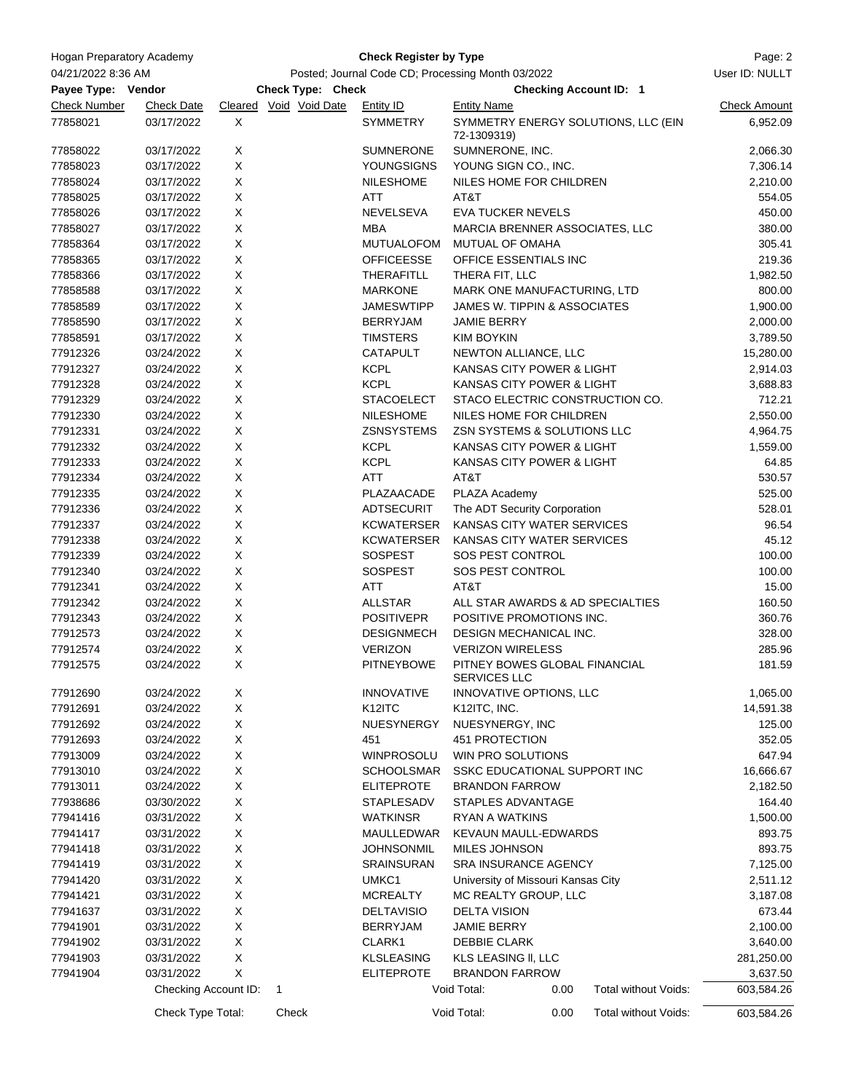| Hogan Preparatory Academy<br>04/21/2022 8:36 AM |                          |   | Page: 2<br>User ID: NULLT |                                                   |                                               |      |                                     |                     |
|-------------------------------------------------|--------------------------|---|---------------------------|---------------------------------------------------|-----------------------------------------------|------|-------------------------------------|---------------------|
|                                                 |                          |   |                           |                                                   |                                               |      |                                     |                     |
| Payee Type: Vendor                              |                          |   | Check Type: Check         | Posted; Journal Code CD; Processing Month 03/2022 |                                               |      | <b>Checking Account ID: 1</b>       |                     |
| <b>Check Number</b>                             | <b>Check Date</b>        |   | Cleared Void Void Date    | <b>Entity ID</b>                                  | <b>Entity Name</b>                            |      |                                     | <b>Check Amount</b> |
| 77858021                                        | 03/17/2022               | X |                           | <b>SYMMETRY</b>                                   | 72-1309319)                                   |      | SYMMETRY ENERGY SOLUTIONS, LLC (EIN | 6,952.09            |
| 77858022                                        | 03/17/2022               | X |                           | <b>SUMNERONE</b>                                  | SUMNERONE, INC.                               |      |                                     | 2,066.30            |
| 77858023                                        | 03/17/2022               | X |                           | YOUNGSIGNS                                        | YOUNG SIGN CO., INC.                          |      |                                     | 7,306.14            |
| 77858024                                        | 03/17/2022               | X |                           | <b>NILESHOME</b>                                  | NILES HOME FOR CHILDREN                       |      |                                     | 2,210.00            |
| 77858025                                        | 03/17/2022               | X |                           | ATT                                               | AT&T                                          |      |                                     | 554.05              |
| 77858026                                        | 03/17/2022               | Χ |                           | NEVELSEVA                                         | <b>EVA TUCKER NEVELS</b>                      |      |                                     | 450.00              |
| 77858027                                        | 03/17/2022               | X |                           | <b>MBA</b>                                        | MARCIA BRENNER ASSOCIATES, LLC                |      |                                     | 380.00              |
| 77858364                                        | 03/17/2022               | Χ |                           | MUTUALOFOM                                        | <b>MUTUAL OF OMAHA</b>                        |      |                                     | 305.41              |
| 77858365                                        | 03/17/2022               | X |                           | <b>OFFICEESSE</b>                                 | OFFICE ESSENTIALS INC                         |      |                                     | 219.36              |
| 77858366                                        | 03/17/2022               | X |                           | THERAFITLL                                        | THERA FIT, LLC                                |      |                                     | 1,982.50            |
| 77858588                                        | 03/17/2022               | X |                           | <b>MARKONE</b>                                    | MARK ONE MANUFACTURING, LTD                   |      |                                     | 800.00              |
| 77858589                                        | 03/17/2022               | X |                           | <b>JAMESWTIPP</b>                                 | JAMES W. TIPPIN & ASSOCIATES                  |      |                                     | 1,900.00            |
| 77858590                                        | 03/17/2022               | Χ |                           | <b>BERRYJAM</b>                                   | <b>JAMIE BERRY</b>                            |      |                                     | 2,000.00            |
| 77858591                                        | 03/17/2022               | X |                           | <b>TIMSTERS</b>                                   | <b>KIM BOYKIN</b>                             |      |                                     | 3,789.50            |
| 77912326                                        | 03/24/2022               | Χ |                           | <b>CATAPULT</b>                                   | NEWTON ALLIANCE, LLC                          |      |                                     | 15,280.00           |
| 77912327                                        | 03/24/2022               | X |                           | <b>KCPL</b>                                       | KANSAS CITY POWER & LIGHT                     |      |                                     | 2,914.03            |
| 77912328                                        | 03/24/2022               | Χ |                           | <b>KCPL</b>                                       | KANSAS CITY POWER & LIGHT                     |      |                                     | 3,688.83            |
| 77912329                                        | 03/24/2022               | X |                           | <b>STACOELECT</b>                                 |                                               |      | STACO ELECTRIC CONSTRUCTION CO.     | 712.21              |
| 77912330                                        | 03/24/2022               | X |                           | <b>NILESHOME</b>                                  | NILES HOME FOR CHILDREN                       |      |                                     | 2,550.00            |
| 77912331                                        | 03/24/2022               | X |                           | <b>ZSNSYSTEMS</b>                                 | ZSN SYSTEMS & SOLUTIONS LLC                   |      |                                     | 4,964.75            |
| 77912332                                        | 03/24/2022               | X |                           | <b>KCPL</b>                                       | KANSAS CITY POWER & LIGHT                     |      |                                     | 1,559.00            |
| 77912333                                        | 03/24/2022               | X |                           | <b>KCPL</b>                                       | KANSAS CITY POWER & LIGHT                     |      |                                     | 64.85               |
| 77912334                                        | 03/24/2022               | Χ |                           | <b>ATT</b>                                        | AT&T                                          |      |                                     | 530.57              |
| 77912335                                        | 03/24/2022               | X |                           | PLAZAACADE                                        | PLAZA Academy                                 |      |                                     | 525.00              |
| 77912336                                        | 03/24/2022               | Χ |                           | ADTSECURIT                                        | The ADT Security Corporation                  |      |                                     | 528.01              |
| 77912337                                        | 03/24/2022               | X |                           | <b>KCWATERSER</b>                                 | KANSAS CITY WATER SERVICES                    |      |                                     | 96.54               |
| 77912338                                        | 03/24/2022               | X |                           | <b>KCWATERSER</b>                                 | KANSAS CITY WATER SERVICES                    |      |                                     | 45.12               |
| 77912339                                        | 03/24/2022               | X |                           | <b>SOSPEST</b>                                    | SOS PEST CONTROL                              |      |                                     | 100.00              |
|                                                 |                          | X |                           |                                                   | SOS PEST CONTROL                              |      |                                     |                     |
| 77912340                                        | 03/24/2022               | X |                           | <b>SOSPEST</b>                                    | AT&T                                          |      |                                     | 100.00              |
| 77912341                                        | 03/24/2022               | X |                           | <b>ATT</b>                                        |                                               |      |                                     | 15.00               |
| 77912342<br>77912343                            | 03/24/2022<br>03/24/2022 | X |                           | <b>ALLSTAR</b><br><b>POSITIVEPR</b>               | POSITIVE PROMOTIONS INC.                      |      | ALL STAR AWARDS & AD SPECIALTIES    | 160.50<br>360.76    |
| 77912573                                        | 03/24/2022               | X |                           | <b>DESIGNMECH</b>                                 | DESIGN MECHANICAL INC.                        |      |                                     | 328.00              |
|                                                 |                          |   |                           |                                                   |                                               |      |                                     |                     |
| 77912574                                        | 03/24/2022               | X |                           | <b>VERIZON</b>                                    | <b>VERIZON WIRELESS</b>                       |      |                                     | 285.96              |
| 77912575                                        | 03/24/2022               | X |                           | <b>PITNEYBOWE</b>                                 | PITNEY BOWES GLOBAL FINANCIAL<br>SERVICES LLC |      |                                     | 181.59              |
| 77912690                                        | 03/24/2022               | X |                           | <b>INNOVATIVE</b>                                 | INNOVATIVE OPTIONS, LLC                       |      |                                     | 1,065.00            |
| 77912691                                        | 03/24/2022               | X |                           | K <sub>12</sub> ITC                               | K12ITC, INC.                                  |      |                                     | 14,591.38           |
| 77912692                                        | 03/24/2022               | X |                           | NUESYNERGY                                        | NUESYNERGY, INC                               |      |                                     | 125.00              |
| 77912693                                        | 03/24/2022               | X |                           | 451                                               | 451 PROTECTION                                |      |                                     | 352.05              |
| 77913009                                        | 03/24/2022               | X |                           | <b>WINPROSOLU</b>                                 | WIN PRO SOLUTIONS                             |      |                                     | 647.94              |
| 77913010                                        | 03/24/2022               | X |                           | <b>SCHOOLSMAR</b>                                 | SSKC EDUCATIONAL SUPPORT INC                  |      |                                     | 16,666.67           |
| 77913011                                        | 03/24/2022               | X |                           | <b>ELITEPROTE</b>                                 | <b>BRANDON FARROW</b>                         |      |                                     | 2,182.50            |
| 77938686                                        | 03/30/2022               | X |                           | STAPLESADV                                        | STAPLES ADVANTAGE                             |      |                                     | 164.40              |
| 77941416                                        | 03/31/2022               | X |                           | <b>WATKINSR</b>                                   | <b>RYAN A WATKINS</b>                         |      |                                     | 1,500.00            |
| 77941417                                        | 03/31/2022               | Χ |                           | MAULLEDWAR                                        | KEVAUN MAULL-EDWARDS                          |      |                                     | 893.75              |
| 77941418                                        | 03/31/2022               | Χ |                           | <b>JOHNSONMIL</b>                                 | MILES JOHNSON                                 |      |                                     | 893.75              |
| 77941419                                        | 03/31/2022               | X |                           | <b>SRAINSURAN</b>                                 | <b>SRA INSURANCE AGENCY</b>                   |      |                                     | 7,125.00            |
| 77941420                                        | 03/31/2022               | Χ |                           | UMKC1                                             | University of Missouri Kansas City            |      |                                     | 2,511.12            |
| 77941421                                        | 03/31/2022               | X |                           | <b>MCREALTY</b>                                   | MC REALTY GROUP, LLC                          |      |                                     | 3,187.08            |
| 77941637                                        | 03/31/2022               | X |                           | <b>DELTAVISIO</b>                                 | <b>DELTA VISION</b>                           |      |                                     | 673.44              |
| 77941901                                        | 03/31/2022               | X |                           | <b>BERRYJAM</b>                                   | <b>JAMIE BERRY</b>                            |      |                                     | 2,100.00            |
| 77941902                                        | 03/31/2022               | X |                           | CLARK1                                            | <b>DEBBIE CLARK</b>                           |      |                                     | 3,640.00            |
| 77941903                                        | 03/31/2022               | X |                           | <b>KLSLEASING</b>                                 | KLS LEASING II, LLC                           |      |                                     | 281,250.00          |
| 77941904                                        | 03/31/2022               | X |                           | <b>ELITEPROTE</b>                                 | <b>BRANDON FARROW</b>                         |      |                                     | 3,637.50            |
|                                                 | Checking Account ID:     |   | 1                         |                                                   | Void Total:                                   | 0.00 | Total without Voids:                | 603,584.26          |
|                                                 | Check Type Total:        |   | Check                     |                                                   | Void Total:                                   | 0.00 | Total without Voids:                | 603,584.26          |